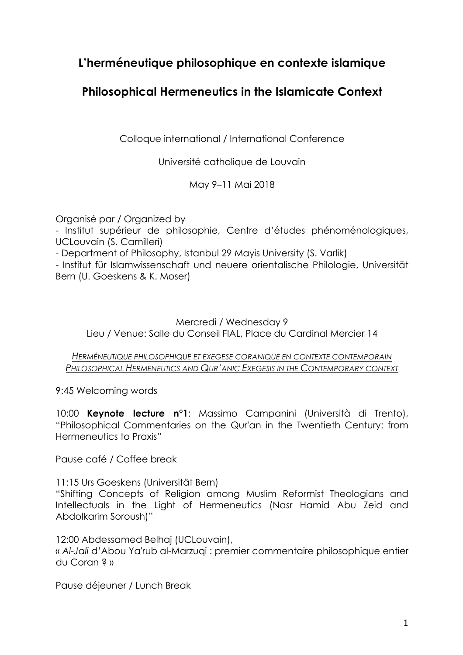# **L'herméneutique philosophique en contexte islamique**

## **Philosophical Hermeneutics in the Islamicate Context**

Colloque international / International Conference

Université catholique de Louvain

May 9–11 Mai 2018

Organisé par / Organized by

- Institut supérieur de philosophie, Centre d'études phénoménologiques, UCLouvain (S. Camilleri)

- Department of Philosophy, Istanbul 29 Mayis University (S. Varlik)

- Institut für Islamwissenschaft und neuere orientalische Philologie, Universität Bern (U. Goeskens & K. Moser)

Mercredi / Wednesday 9 Lieu / Venue: Salle du Conseil FIAL, Place du Cardinal Mercier 14

*HERMÉNEUTIQUE PHILOSOPHIQUE ET EXEGESE CORANIQUE EN CONTEXTE CONTEMPORAIN PHILOSOPHICAL HERMENEUTICS AND QUR'ANIC EXEGESIS IN THE CONTEMPORARY CONTEXT*

9:45 Welcoming words

10:00 **Keynote lecture n°1**: Massimo Campanini (Università di Trento), "Philosophical Commentaries on the Qur'an in the Twentieth Century: from Hermeneutics to Praxis"

Pause café / Coffee break

11:15 Urs Goeskens (Universität Bern)

"Shifting Concepts of Religion among Muslim Reformist Theologians and Intellectuals in the Light of Hermeneutics (Nasr Hamid Abu Zeid and Abdolkarim Soroush)"

12:00 Abdessamed Belhaj (UCLouvain), « *Al-Jali* d'Abou Ya'rub al-Marzuqi : premier commentaire philosophique entier du Coran ? »

Pause déjeuner / Lunch Break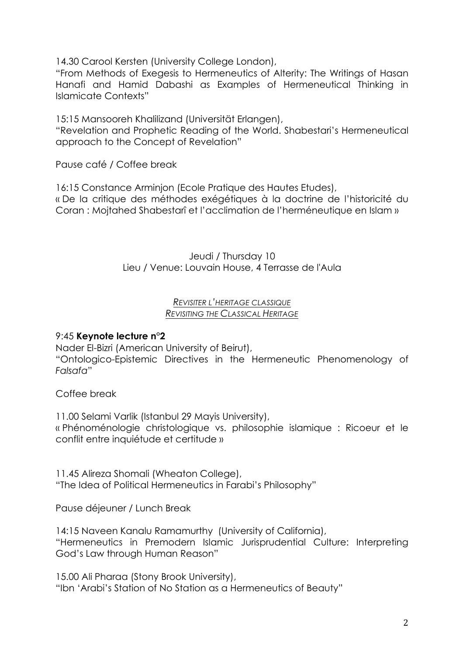14.30 Carool Kersten (University College London),

"From Methods of Exegesis to Hermeneutics of Alterity: The Writings of Hasan Hanafi and Hamid Dabashi as Examples of Hermeneutical Thinking in Islamicate Contexts"

15:15 Mansooreh Khalilizand (Universität Erlangen),

"Revelation and Prophetic Reading of the World. Shabestari's Hermeneutical approach to the Concept of Revelation"

Pause café / Coffee break

16:15 Constance Arminjon (Ecole Pratique des Hautes Etudes), « De la critique des méthodes exégétiques à la doctrine de l'historicité du

Coran : Mojtahed Shabestarî et l'acclimation de l'herméneutique en Islam »

Jeudi / Thursday 10 Lieu / Venue: Louvain House, 4 Terrasse de l'Aula

### *REVISITER L'HERITAGE CLASSIQUE REVISITING THE CLASSICAL HERITAGE*

## 9:45 **Keynote lecture n°2**

Nader El-Bizri (American University of Beirut),

"Ontologico-Epistemic Directives in the Hermeneutic Phenomenology of *Falsafa*"

Coffee break

11.00 Selami Varlik (Istanbul 29 Mayis University), « Phénoménologie christologique vs. philosophie islamique : Ricoeur et le conflit entre inquiétude et certitude »

11.45 Alireza Shomali (Wheaton College), "The Idea of Political Hermeneutics in Farabi's Philosophy"

Pause déjeuner / Lunch Break

14:15 Naveen Kanalu Ramamurthy (University of California), "Hermeneutics in Premodern Islamic Jurisprudential Culture: Interpreting God's Law through Human Reason"

15.00 Ali Pharaa (Stony Brook University), "Ibn 'Arabi's Station of No Station as a Hermeneutics of Beauty"